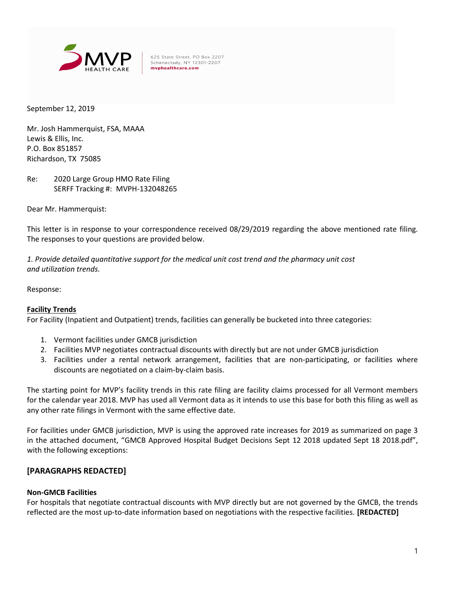

September 12, 2019

Mr. Josh Hammerquist, FSA, MAAA Lewis & Ellis, Inc. P.O. Box 851857 Richardson, TX 75085

Re: 2020 Large Group HMO Rate Filing SERFF Tracking #: MVPH-132048265

Dear Mr. Hammerquist:

This letter is in response to your correspondence received 08/29/2019 regarding the above mentioned rate filing. The responses to your questions are provided below.

1. Provide detailed quantitative support for the medical unit cost trend and the pharmacy unit cost and utilization trends.

Response:

### Facility Trends

For Facility (Inpatient and Outpatient) trends, facilities can generally be bucketed into three categories:

- 1. Vermont facilities under GMCB jurisdiction
- 2. Facilities MVP negotiates contractual discounts with directly but are not under GMCB jurisdiction
- 3. Facilities under a rental network arrangement, facilities that are non-participating, or facilities where discounts are negotiated on a claim-by-claim basis.

The starting point for MVP's facility trends in this rate filing are facility claims processed for all Vermont members for the calendar year 2018. MVP has used all Vermont data as it intends to use this base for both this filing as well as any other rate filings in Vermont with the same effective date.

For facilities under GMCB jurisdiction, MVP is using the approved rate increases for 2019 as summarized on page 3 in the attached document, "GMCB Approved Hospital Budget Decisions Sept 12 2018 updated Sept 18 2018.pdf", with the following exceptions:

### [PARAGRAPHS REDACTED]

#### Non-GMCB Facilities

For hospitals that negotiate contractual discounts with MVP directly but are not governed by the GMCB, the trends reflected are the most up-to-date information based on negotiations with the respective facilities. [REDACTED]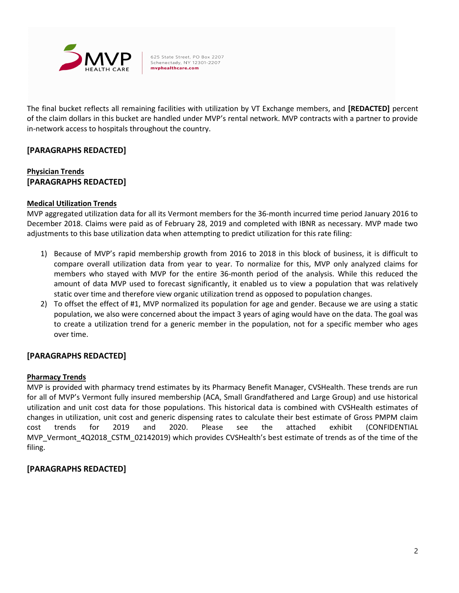

The final bucket reflects all remaining facilities with utilization by VT Exchange members, and [REDACTED] percent of the claim dollars in this bucket are handled under MVP's rental network. MVP contracts with a partner to provide in-network access to hospitals throughout the country.

# [PARAGRAPHS REDACTED]

# Physician Trends [PARAGRAPHS REDACTED]

### Medical Utilization Trends

MVP aggregated utilization data for all its Vermont members for the 36-month incurred time period January 2016 to December 2018. Claims were paid as of February 28, 2019 and completed with IBNR as necessary. MVP made two adjustments to this base utilization data when attempting to predict utilization for this rate filing:

- 1) Because of MVP's rapid membership growth from 2016 to 2018 in this block of business, it is difficult to compare overall utilization data from year to year. To normalize for this, MVP only analyzed claims for members who stayed with MVP for the entire 36-month period of the analysis. While this reduced the amount of data MVP used to forecast significantly, it enabled us to view a population that was relatively static over time and therefore view organic utilization trend as opposed to population changes.
- 2) To offset the effect of #1, MVP normalized its population for age and gender. Because we are using a static population, we also were concerned about the impact 3 years of aging would have on the data. The goal was to create a utilization trend for a generic member in the population, not for a specific member who ages over time.

# [PARAGRAPHS REDACTED]

### Pharmacy Trends

MVP is provided with pharmacy trend estimates by its Pharmacy Benefit Manager, CVSHealth. These trends are run for all of MVP's Vermont fully insured membership (ACA, Small Grandfathered and Large Group) and use historical utilization and unit cost data for those populations. This historical data is combined with CVSHealth estimates of changes in utilization, unit cost and generic dispensing rates to calculate their best estimate of Gross PMPM claim cost trends for 2019 and 2020. Please see the attached exhibit (CONFIDENTIAL MVP\_Vermont\_4Q2018\_CSTM\_02142019) which provides CVSHealth's best estimate of trends as of the time of the filing.

# [PARAGRAPHS REDACTED]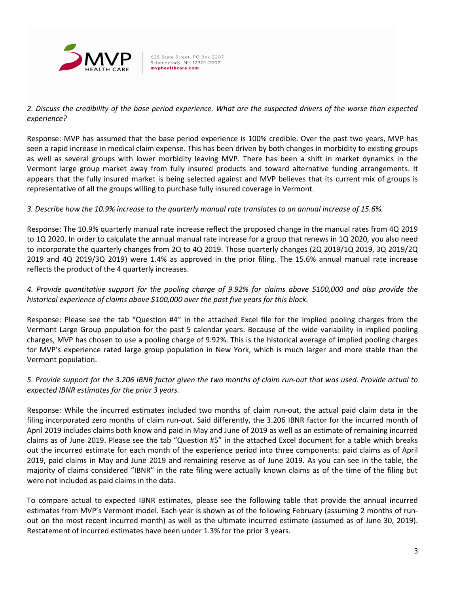

# 2. Discuss the credibility of the base period experience. What are the suspected drivers of the worse than expected experience?

Response: MVP has assumed that the base period experience is 100% credible. Over the past two years, MVP has seen a rapid increase in medical claim expense. This has been driven by both changes in morbidity to existing groups as well as several groups with lower morbidity leaving MVP. There has been a shift in market dynamics in the Vermont large group market away from fully insured products and toward alternative funding arrangements. It appears that the fully insured market is being selected against and MVP believes that its current mix of groups is representative of all the groups willing to purchase fully insured coverage in Vermont.

# 3. Describe how the 10.9% increase to the quarterly manual rate translates to an annual increase of 15.6%.

Response: The 10.9% quarterly manual rate increase reflect the proposed change in the manual rates from 4Q 2019 to 1Q 2020. In order to calculate the annual manual rate increase for a group that renews in 1Q 2020, you also need to incorporate the quarterly changes from 2Q to 4Q 2019. Those quarterly changes (2Q 2019/1Q 2019, 3Q 2019/2Q 2019 and 4Q 2019/3Q 2019) were 1.4% as approved in the prior filing. The 15.6% annual manual rate increase reflects the product of the 4 quarterly increases.

# 4. Provide quantitative support for the pooling charge of 9.92% for claims above \$100,000 and also provide the historical experience of claims above \$100,000 over the past five years for this block.

Response: Please see the tab "Question #4" in the attached Excel file for the implied pooling charges from the Vermont Large Group population for the past 5 calendar years. Because of the wide variability in implied pooling charges, MVP has chosen to use a pooling charge of 9.92%. This is the historical average of implied pooling charges for MVP's experience rated large group population in New York, which is much larger and more stable than the Vermont population.

# 5. Provide support for the 3.206 IBNR factor given the two months of claim run-out that was used. Provide actual to expected IBNR estimates for the prior 3 years.

Response: While the incurred estimates included two months of claim run-out, the actual paid claim data in the filing incorporated zero months of claim run-out. Said differently, the 3.206 IBNR factor for the incurred month of April 2019 includes claims both know and paid in May and June of 2019 as well as an estimate of remaining incurred claims as of June 2019. Please see the tab "Question #5" in the attached Excel document for a table which breaks out the incurred estimate for each month of the experience period into three components: paid claims as of April 2019, paid claims in May and June 2019 and remaining reserve as of June 2019. As you can see in the table, the majority of claims considered "IBNR" in the rate filing were actually known claims as of the time of the filing but were not included as paid claims in the data.

To compare actual to expected IBNR estimates, please see the following table that provide the annual incurred estimates from MVP's Vermont model. Each year is shown as of the following February (assuming 2 months of runout on the most recent incurred month) as well as the ultimate incurred estimate (assumed as of June 30, 2019). Restatement of incurred estimates have been under 1.3% for the prior 3 years.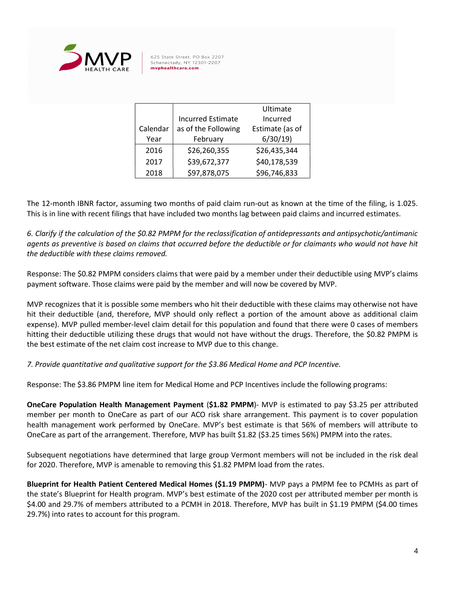

|          |                          | Ultimate        |  |
|----------|--------------------------|-----------------|--|
|          | <b>Incurred Estimate</b> | Incurred        |  |
| Calendar | as of the Following      | Estimate (as of |  |
| Year     | February                 | 6/30/19         |  |
| 2016     | \$26,260,355             | \$26,435,344    |  |
| 2017     | \$39,672,377             | \$40,178,539    |  |
| 2018     | \$97,878,075             | \$96,746,833    |  |

The 12-month IBNR factor, assuming two months of paid claim run-out as known at the time of the filing, is 1.025. This is in line with recent filings that have included two months lag between paid claims and incurred estimates.

6. Clarify if the calculation of the \$0.82 PMPM for the reclassification of antidepressants and antipsychotic/antimanic agents as preventive is based on claims that occurred before the deductible or for claimants who would not have hit the deductible with these claims removed.

Response: The \$0.82 PMPM considers claims that were paid by a member under their deductible using MVP's claims payment software. Those claims were paid by the member and will now be covered by MVP.

MVP recognizes that it is possible some members who hit their deductible with these claims may otherwise not have hit their deductible (and, therefore, MVP should only reflect a portion of the amount above as additional claim expense). MVP pulled member-level claim detail for this population and found that there were 0 cases of members hitting their deductible utilizing these drugs that would not have without the drugs. Therefore, the \$0.82 PMPM is the best estimate of the net claim cost increase to MVP due to this change.

7. Provide quantitative and qualitative support for the \$3.86 Medical Home and PCP Incentive.

Response: The \$3.86 PMPM line item for Medical Home and PCP Incentives include the following programs:

OneCare Population Health Management Payment (\$1.82 PMPM)- MVP is estimated to pay \$3.25 per attributed member per month to OneCare as part of our ACO risk share arrangement. This payment is to cover population health management work performed by OneCare. MVP's best estimate is that 56% of members will attribute to OneCare as part of the arrangement. Therefore, MVP has built \$1.82 (\$3.25 times 56%) PMPM into the rates.

Subsequent negotiations have determined that large group Vermont members will not be included in the risk deal for 2020. Therefore, MVP is amenable to removing this \$1.82 PMPM load from the rates.

Blueprint for Health Patient Centered Medical Homes (\$1.19 PMPM)- MVP pays a PMPM fee to PCMHs as part of the state's Blueprint for Health program. MVP's best estimate of the 2020 cost per attributed member per month is \$4.00 and 29.7% of members attributed to a PCMH in 2018. Therefore, MVP has built in \$1.19 PMPM (\$4.00 times 29.7%) into rates to account for this program.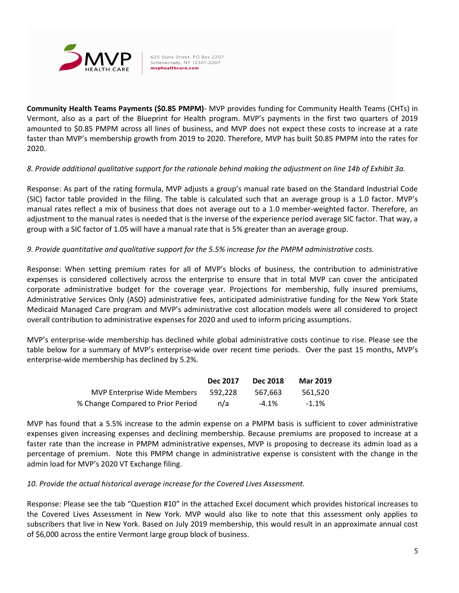

Community Health Teams Payments (\$0.85 PMPM)- MVP provides funding for Community Health Teams (CHTs) in Vermont, also as a part of the Blueprint for Health program. MVP's payments in the first two quarters of 2019 amounted to \$0.85 PMPM across all lines of business, and MVP does not expect these costs to increase at a rate faster than MVP's membership growth from 2019 to 2020. Therefore, MVP has built \$0.85 PMPM into the rates for 2020.

### 8. Provide additional qualitative support for the rationale behind making the adjustment on line 14b of Exhibit 3a.

Response: As part of the rating formula, MVP adjusts a group's manual rate based on the Standard Industrial Code (SIC) factor table provided in the filing. The table is calculated such that an average group is a 1.0 factor. MVP's manual rates reflect a mix of business that does not average out to a 1.0 member-weighted factor. Therefore, an adjustment to the manual rates is needed that is the inverse of the experience period average SIC factor. That way, a group with a SIC factor of 1.05 will have a manual rate that is 5% greater than an average group.

### 9. Provide quantitative and qualitative support for the 5.5% increase for the PMPM administrative costs.

Response: When setting premium rates for all of MVP's blocks of business, the contribution to administrative expenses is considered collectively across the enterprise to ensure that in total MVP can cover the anticipated corporate administrative budget for the coverage year. Projections for membership, fully insured premiums, Administrative Services Only (ASO) administrative fees, anticipated administrative funding for the New York State Medicaid Managed Care program and MVP's administrative cost allocation models were all considered to project overall contribution to administrative expenses for 2020 and used to inform pricing assumptions.

MVP's enterprise-wide membership has declined while global administrative costs continue to rise. Please see the table below for a summary of MVP's enterprise-wide over recent time periods. Over the past 15 months, MVP's enterprise-wide membership has declined by 5.2%.

|                                    | Dec 2017 | <b>Dec 2018</b> | <b>Mar 2019</b> |
|------------------------------------|----------|-----------------|-----------------|
| <b>MVP Enterprise Wide Members</b> | 592.228  | 567.663         | 561.520         |
| % Change Compared to Prior Period  | n/a      | -4.1%           | $-1.1\%$        |

MVP has found that a 5.5% increase to the admin expense on a PMPM basis is sufficient to cover administrative expenses given increasing expenses and declining membership. Because premiums are proposed to increase at a faster rate than the increase in PMPM administrative expenses, MVP is proposing to decrease its admin load as a percentage of premium. Note this PMPM change in administrative expense is consistent with the change in the admin load for MVP's 2020 VT Exchange filing.

### 10. Provide the actual historical average increase for the Covered Lives Assessment.

Response: Please see the tab "Question #10" in the attached Excel document which provides historical increases to the Covered Lives Assessment in New York. MVP would also like to note that this assessment only applies to subscribers that live in New York. Based on July 2019 membership, this would result in an approximate annual cost of \$6,000 across the entire Vermont large group block of business.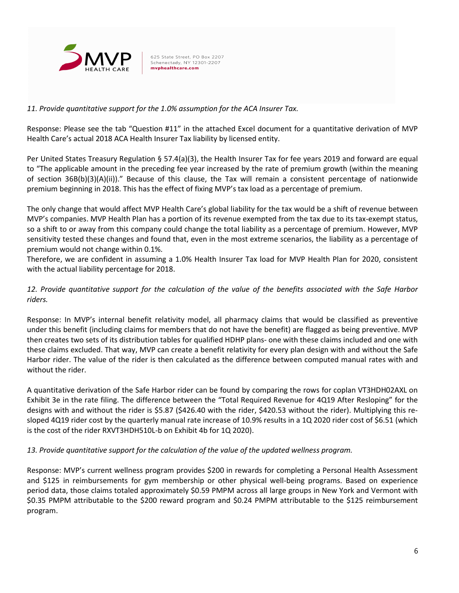

## 11. Provide quantitative support for the 1.0% assumption for the ACA Insurer Tax.

Response: Please see the tab "Question #11" in the attached Excel document for a quantitative derivation of MVP Health Care's actual 2018 ACA Health Insurer Tax liability by licensed entity.

Per United States Treasury Regulation § 57.4(a)(3), the Health Insurer Tax for fee years 2019 and forward are equal to "The applicable amount in the preceding fee year increased by the rate of premium growth (within the meaning of section 36B(b)(3)(A)(ii))." Because of this clause, the Tax will remain a consistent percentage of nationwide premium beginning in 2018. This has the effect of fixing MVP's tax load as a percentage of premium.

The only change that would affect MVP Health Care's global liability for the tax would be a shift of revenue between MVP's companies. MVP Health Plan has a portion of its revenue exempted from the tax due to its tax-exempt status, so a shift to or away from this company could change the total liability as a percentage of premium. However, MVP sensitivity tested these changes and found that, even in the most extreme scenarios, the liability as a percentage of premium would not change within 0.1%.

Therefore, we are confident in assuming a 1.0% Health Insurer Tax load for MVP Health Plan for 2020, consistent with the actual liability percentage for 2018.

# 12. Provide quantitative support for the calculation of the value of the benefits associated with the Safe Harbor riders.

Response: In MVP's internal benefit relativity model, all pharmacy claims that would be classified as preventive under this benefit (including claims for members that do not have the benefit) are flagged as being preventive. MVP then creates two sets of its distribution tables for qualified HDHP plans- one with these claims included and one with these claims excluded. That way, MVP can create a benefit relativity for every plan design with and without the Safe Harbor rider. The value of the rider is then calculated as the difference between computed manual rates with and without the rider.

A quantitative derivation of the Safe Harbor rider can be found by comparing the rows for coplan VT3HDH02AXL on Exhibit 3e in the rate filing. The difference between the "Total Required Revenue for 4Q19 After Resloping" for the designs with and without the rider is \$5.87 (\$426.40 with the rider, \$420.53 without the rider). Multiplying this resloped 4Q19 rider cost by the quarterly manual rate increase of 10.9% results in a 1Q 2020 rider cost of \$6.51 (which is the cost of the rider RXVT3HDH510L-b on Exhibit 4b for 1Q 2020).

### 13. Provide quantitative support for the calculation of the value of the updated wellness program.

Response: MVP's current wellness program provides \$200 in rewards for completing a Personal Health Assessment and \$125 in reimbursements for gym membership or other physical well-being programs. Based on experience period data, those claims totaled approximately \$0.59 PMPM across all large groups in New York and Vermont with \$0.35 PMPM attributable to the \$200 reward program and \$0.24 PMPM attributable to the \$125 reimbursement program.